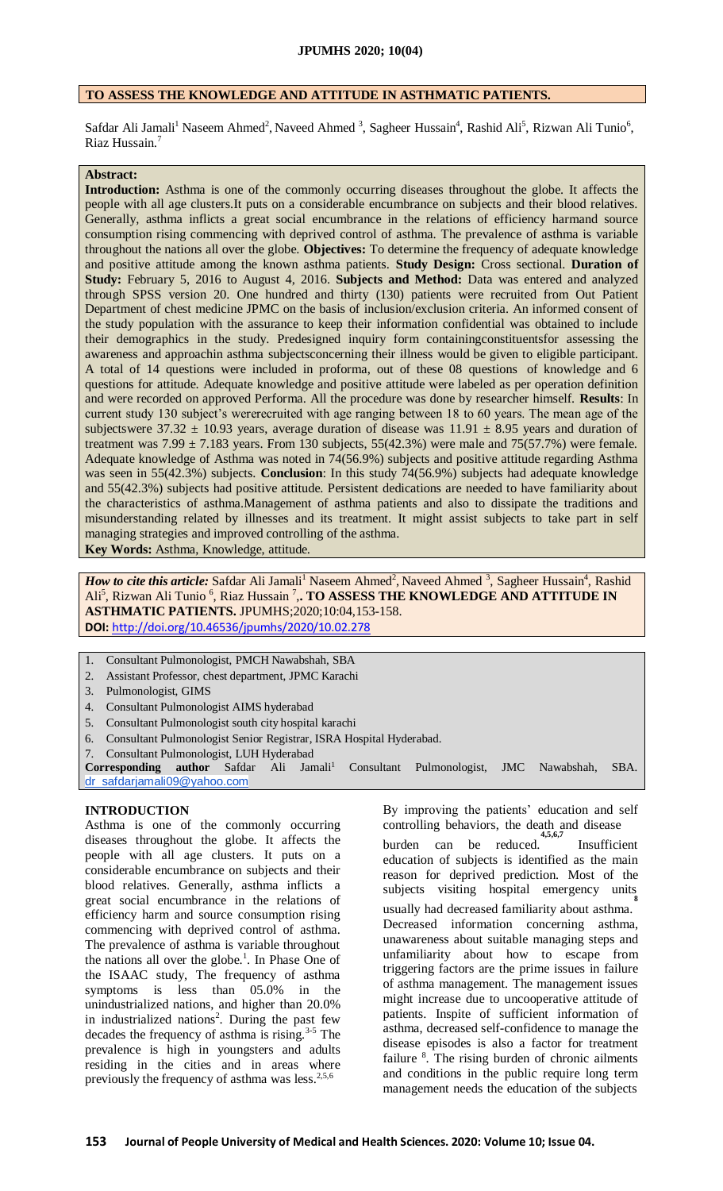## **TO ASSESS THE KNOWLEDGE AND ATTITUDE IN ASTHMATIC PATIENTS.**

Safdar Ali Jamali<sup>1</sup> Naseem Ahmed<sup>2</sup>, Naveed Ahmed <sup>3</sup>, Sagheer Hussain<sup>4</sup>, Rashid Ali<sup>5</sup>, Rizwan Ali Tunio<sup>6</sup>, Riaz Hussain.<sup>7</sup>

# **Abstract:**

**Introduction:** Asthma is one of the commonly occurring diseases throughout the globe. It affects the people with all age clusters.It puts on a considerable encumbrance on subjects and their blood relatives. Generally, asthma inflicts a great social encumbrance in the relations of efficiency harmand source consumption rising commencing with deprived control of asthma. The prevalence of asthma is variable throughout the nations all over the globe. **Objectives:** To determine the frequency of adequate knowledge and positive attitude among the known asthma patients. **Study Design:** Cross sectional. **Duration of Study:** February 5, 2016 to August 4, 2016. **Subjects and Method:** Data was entered and analyzed through SPSS version 20. One hundred and thirty (130) patients were recruited from Out Patient Department of chest medicine JPMC on the basis of inclusion/exclusion criteria. An informed consent of the study population with the assurance to keep their information confidential was obtained to include their demographics in the study. Predesigned inquiry form containingconstituentsfor assessing the awareness and approachin asthma subjectsconcerning their illness would be given to eligible participant. A total of 14 questions were included in proforma, out of these 08 questions of knowledge and 6 questions for attitude. Adequate knowledge and positive attitude were labeled as per operation definition and were recorded on approved Performa. All the procedure was done by researcher himself. **Results**: In current study 130 subject's wererecruited with age ranging between 18 to 60 years. The mean age of the subjectswere 37.32  $\pm$  10.93 years, average duration of disease was 11.91  $\pm$  8.95 years and duration of treatment was  $7.99 \pm 7.183$  years. From 130 subjects, 55(42.3%) were male and 75(57.7%) were female. Adequate knowledge of Asthma was noted in 74(56.9%) subjects and positive attitude regarding Asthma was seen in 55(42.3%) subjects. **Conclusion**: In this study 74(56.9%) subjects had adequate knowledge and 55(42.3%) subjects had positive attitude. Persistent dedications are needed to have familiarity about the characteristics of asthma.Management of asthma patients and also to dissipate the traditions and misunderstanding related by illnesses and its treatment. It might assist subjects to take part in self managing strategies and improved controlling of the asthma.

**Key Words:** Asthma, Knowledge, attitude.

*How to cite this article:* Safdar Ali Jamali<sup>1</sup> Naseem Ahmed<sup>2</sup>, Naveed Ahmed <sup>3</sup>, Sagheer Hussain<sup>4</sup>, Rashid Ali<sup>5</sup>, Rizwan Ali Tunio<sup>6</sup>, Riaz Hussain<sup>7</sup>,. TO ASSESS THE KNOWLEDGE AND ATTITUDE IN **ASTHMATIC PATIENTS.** JPUMHS;2020;10:04,153-158. **DOI:** <http://doi.org/10.46536/jpumhs/2020/10.02.278>

- 1. Consultant Pulmonologist, PMCH Nawabshah, SBA
- 2. Assistant Professor, chest department, JPMC Karachi
- 3. Pulmonologist, GIMS
- 4. Consultant Pulmonologist AIMS hyderabad
- 5. Consultant Pulmonologist south city hospital karachi
- 6. Consultant Pulmonologist Senior Registrar, ISRA Hospital Hyderabad.
- 7. Consultant Pulmonologist, LUH Hyderabad

Corresponding author Safdar Ali Jamali<sup>1</sup> Consultant Pulmonologist, JMC Nawabshah, SBA. [dr\\_safdarjamali09@yahoo.com](mailto:dr_safdarjamali09@yahoo.com)

### **INTRODUCTION**

Asthma is one of the commonly occurring diseases throughout the globe. It affects the people with all age clusters. It puts on a considerable encumbrance on subjects and their blood relatives. Generally, asthma inflicts a great social encumbrance in the relations of efficiency harm and source consumption rising commencing with deprived control of asthma. The prevalence of asthma is variable throughout the nations all over the globe.<sup>1</sup>. In Phase One of the ISAAC study, The frequency of asthma symptoms is less than 05.0% in the unindustrialized nations, and higher than 20.0% in industrialized nations<sup>2</sup>. During the past few decades the frequency of asthma is rising. $3-5$  The prevalence is high in youngsters and adults residing in the cities and in areas where previously the frequency of asthma was less. $2,5,6$ 

By improving the patients' education and self controlling behaviors, the death and disease **4,5,6,7**

burden can be reduced. Insufficient education of subjects is identified as the main reason for deprived prediction. Most of the subjects visiting hospital emergency units **8** usually had decreased familiarity about asthma. Decreased information concerning asthma, unawareness about suitable managing steps and unfamiliarity about how to escape from triggering factors are the prime issues in failure of asthma management. The management issues might increase due to uncooperative attitude of patients. Inspite of sufficient information of asthma, decreased self-confidence to manage the disease episodes is also a factor for treatment failure <sup>8</sup>. The rising burden of chronic ailments and conditions in the public require long term management needs the education of the subjects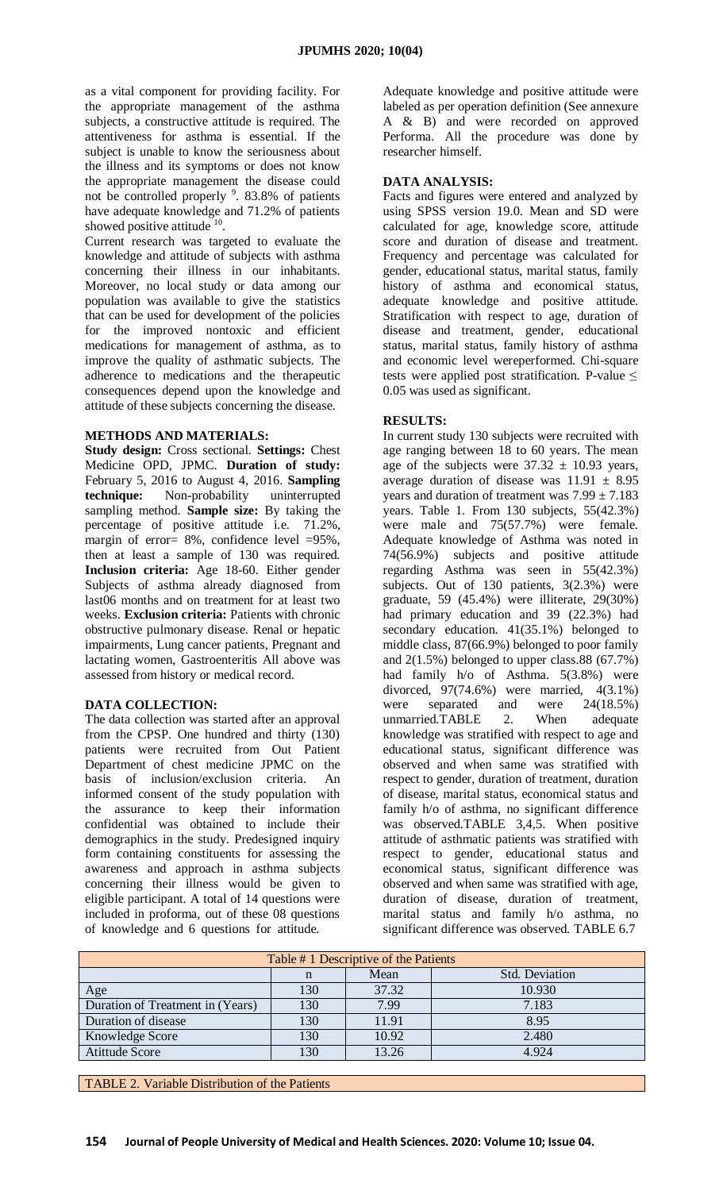as a vital component for providing facility. For the appropriate management of the asthma subjects, a constructive attitude is required. The attentiveness for asthma is essential. If the subject is unable to know the seriousness about the illness and its symptoms or does not know the appropriate management the disease could not be controlled properly <sup>9</sup>. 83.8% of patients have adequate knowledge and 71.2% of patients showed positive attitude  $10$ .

Current research was targeted to evaluate the knowledge and attitude of subjects with asthma concerning their illness in our inhabitants. Moreover, no local study or data among our population was available to give the statistics that can be used for development of the policies for the improved nontoxic and efficient medications for management of asthma, as to improve the quality of asthmatic subjects. The adherence to medications and the therapeutic consequences depend upon the knowledge and attitude of these subjects concerning the disease.

### **METHODS AND MATERIALS:**

**Study design:** Cross sectional. **Settings:** Chest Medicine OPD, JPMC. **Duration of study:** February 5, 2016 to August 4, 2016. **Sampling technique:** Non-probability uninterrupted sampling method. **Sample size:** By taking the percentage of positive attitude i.e. 71.2%, margin of error= 8%, confidence level =95%, then at least a sample of 130 was required. **Inclusion criteria:** Age 18-60. Either gender Subjects of asthma already diagnosed from last06 months and on treatment for at least two weeks. **Exclusion criteria:** Patients with chronic obstructive pulmonary disease. Renal or hepatic impairments, Lung cancer patients, Pregnant and lactating women, Gastroenteritis All above was assessed from history or medical record.

# **DATA COLLECTION:**

The data collection was started after an approval from the CPSP. One hundred and thirty (130) patients were recruited from Out Patient Department of chest medicine JPMC on the basis of inclusion/exclusion criteria. An informed consent of the study population with the assurance to keep their information confidential was obtained to include their demographics in the study. Predesigned inquiry form containing constituents for assessing the awareness and approach in asthma subjects concerning their illness would be given to eligible participant. A total of 14 questions were included in proforma, out of these 08 questions of knowledge and 6 questions for attitude.

Adequate knowledge and positive attitude were labeled as per operation definition (See annexure A & B) and were recorded on approved Performa. All the procedure was done by researcher himself.

#### **DATA ANALYSIS:**

Facts and figures were entered and analyzed by using SPSS version 19.0. Mean and SD were calculated for age, knowledge score, attitude score and duration of disease and treatment. Frequency and percentage was calculated for gender, educational status, marital status, family history of asthma and economical status, adequate knowledge and positive attitude. Stratification with respect to age, duration of disease and treatment, gender, educational status, marital status, family history of asthma and economic level wereperformed. Chi-square tests were applied post stratification. P-value  $\leq$ 0.05 was used as significant.

### **RESULTS:**

In current study 130 subjects were recruited with age ranging between 18 to 60 years. The mean age of the subjects were  $37.32 \pm 10.93$  years, average duration of disease was  $11.91 \pm 8.95$ years and duration of treatment was  $7.99 \pm 7.183$ years. Table 1. From 130 subjects, 55(42.3%) were male and 75(57.7%) were female. Adequate knowledge of Asthma was noted in 74(56.9%) subjects and positive attitude regarding Asthma was seen in 55(42.3%) subjects. Out of 130 patients, 3(2.3%) were graduate, 59 (45.4%) were illiterate, 29(30%) had primary education and 39 (22.3%) had secondary education. 41(35.1%) belonged to middle class, 87(66.9%) belonged to poor family and 2(1.5%) belonged to upper class.88 (67.7%) had family h/o of Asthma. 5(3.8%) were divorced, 97(74.6%) were married, 4(3.1%) were separated and were 24(18.5%) unmarried.TABLE 2. When adequate knowledge was stratified with respect to age and educational status, significant difference was observed and when same was stratified with respect to gender, duration of treatment, duration of disease, marital status, economical status and family h/o of asthma, no significant difference was observed.TABLE 3,4,5. When positive attitude of asthmatic patients was stratified with respect to gender, educational status and economical status, significant difference was observed and when same was stratified with age, duration of disease, duration of treatment, marital status and family h/o asthma, no significant difference was observed. TABLE 6.7

| Table # 1 Descriptive of the Patients |     |       |        |  |  |
|---------------------------------------|-----|-------|--------|--|--|
| Mean<br>Std. Deviation<br>n           |     |       |        |  |  |
| Age                                   | 130 | 37.32 | 10.930 |  |  |
| Duration of Treatment in (Years)      | 130 | 7.99  | 7.183  |  |  |
| Duration of disease                   | 130 | 11.91 | 8.95   |  |  |
| Knowledge Score                       | 130 | 10.92 | 2.480  |  |  |
| <b>Atittude Score</b>                 | 130 | 13.26 | 4.924  |  |  |

TABLE 2. Variable Distribution of the Patients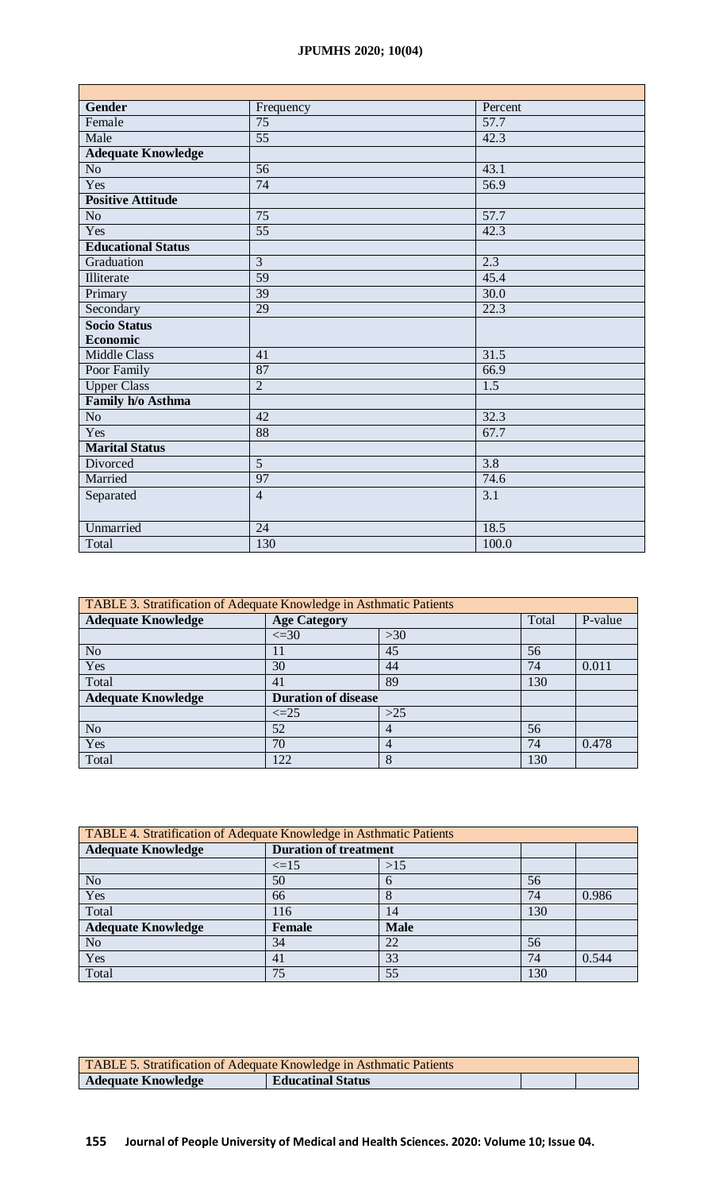# **JPUMHS 2020; 10(04)**

| <b>Gender</b>             | Frequency       | Percent           |  |
|---------------------------|-----------------|-------------------|--|
| Female                    | $\overline{75}$ | 57.7              |  |
| Male                      | $\overline{55}$ | 42.3              |  |
| <b>Adequate Knowledge</b> |                 |                   |  |
| No                        | $\overline{56}$ | 43.1              |  |
| Yes                       | $\overline{74}$ | $\overline{56.9}$ |  |
| <b>Positive Attitude</b>  |                 |                   |  |
| No                        | $\overline{75}$ | 57.7              |  |
| Yes                       | $\overline{55}$ | 42.3              |  |
| <b>Educational Status</b> |                 |                   |  |
| Graduation                | $\overline{3}$  | 2.3               |  |
| Illiterate                | 59              | 45.4              |  |
| Primary                   | $\overline{39}$ | $\overline{30.0}$ |  |
| Secondary                 | 29              | 22.3              |  |
| <b>Socio Status</b>       |                 |                   |  |
| <b>Economic</b>           |                 |                   |  |
| <b>Middle Class</b>       | $\overline{41}$ | $\overline{31.5}$ |  |
| Poor Family               | 87              | 66.9              |  |
| <b>Upper Class</b>        | $\overline{2}$  | $\overline{1.5}$  |  |
| Family h/o Asthma         |                 |                   |  |
| No                        | $\overline{42}$ | 32.3              |  |
| Yes                       | $\overline{88}$ | 67.7              |  |
| <b>Marital Status</b>     |                 |                   |  |
| Divorced                  | $\overline{5}$  | 3.8               |  |
| Married                   | 97              | 74.6              |  |
| Separated                 | $\overline{4}$  | 3.1               |  |
|                           |                 |                   |  |
| Unmarried                 | $\overline{24}$ | 18.5              |  |
| Total                     | 130             | 100.0             |  |

| TABLE 3. Stratification of Adequate Knowledge in Asthmatic Patients |                            |       |         |       |  |  |
|---------------------------------------------------------------------|----------------------------|-------|---------|-------|--|--|
| <b>Adequate Knowledge</b>                                           | <b>Age Category</b>        | Total | P-value |       |  |  |
|                                                                     | $\leq$ =30                 | $>30$ |         |       |  |  |
| N <sub>o</sub>                                                      | 11                         | 45    | 56      |       |  |  |
| Yes                                                                 | 30                         | 44    | 74      | 0.011 |  |  |
| Total                                                               | 41                         | 89    | 130     |       |  |  |
| <b>Adequate Knowledge</b>                                           | <b>Duration of disease</b> |       |         |       |  |  |
|                                                                     | $\leq$ $=$ 25              | $>25$ |         |       |  |  |
| N <sub>o</sub>                                                      | 52                         | 4     | 56      |       |  |  |
| Yes                                                                 | 70                         | 4     | 74      | 0.478 |  |  |
| Total                                                               | 122                        | 8     | 130     |       |  |  |

| TABLE 4. Stratification of Adequate Knowledge in Asthmatic Patients |                              |             |     |       |  |  |  |
|---------------------------------------------------------------------|------------------------------|-------------|-----|-------|--|--|--|
| <b>Adequate Knowledge</b>                                           | <b>Duration of treatment</b> |             |     |       |  |  |  |
|                                                                     | $\leq$ =15                   | >15         |     |       |  |  |  |
| N <sub>o</sub>                                                      | 50                           | 6           | 56  |       |  |  |  |
| Yes                                                                 | 66                           | 8           | 74  | 0.986 |  |  |  |
| Total                                                               | 116                          | 14          | 130 |       |  |  |  |
| <b>Adequate Knowledge</b>                                           | <b>Female</b>                | <b>Male</b> |     |       |  |  |  |
| N <sub>o</sub>                                                      | 34                           | 22          | 56  |       |  |  |  |
| Yes                                                                 | 41                           | 33          | 74  | 0.544 |  |  |  |
| Total                                                               | 75                           | 55          | 130 |       |  |  |  |

| <b>TABLE 5. Stratification of Adequate Knowledge in Asthmatic Patients</b> |                          |  |  |  |  |
|----------------------------------------------------------------------------|--------------------------|--|--|--|--|
| <b>Adequate Knowledge</b>                                                  | <b>Educatinal Status</b> |  |  |  |  |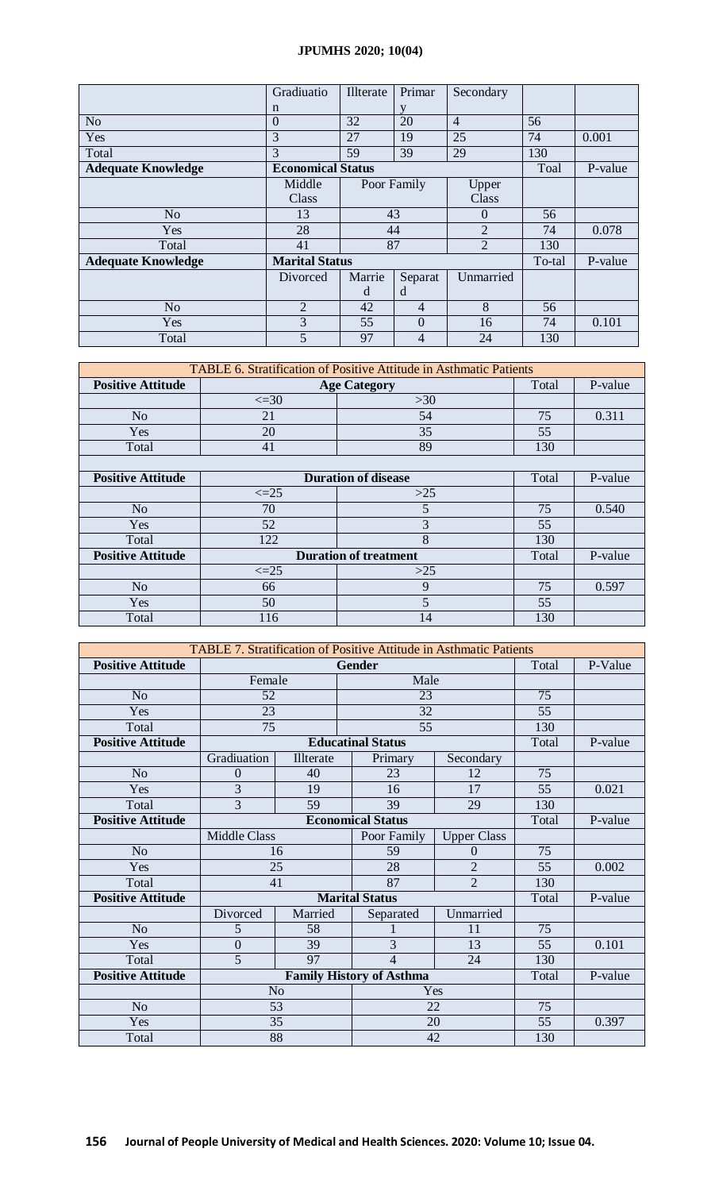# **JPUMHS 2020; 10(04)**

|                           | Gradiuatio               | Illterate | Primar         | Secondary      |        |         |
|---------------------------|--------------------------|-----------|----------------|----------------|--------|---------|
|                           | n                        |           |                |                |        |         |
| N <sub>o</sub>            | $\overline{0}$           | 32        | 20             | $\overline{4}$ | 56     |         |
| Yes                       | 3                        | 27        | 19             | 25             | 74     | 0.001   |
| Total                     | 3                        | 59        | 39             | 29             | 130    |         |
| <b>Adequate Knowledge</b> | <b>Economical Status</b> |           |                |                | Toal   | P-value |
|                           | Middle                   |           | Poor Family    | Upper          |        |         |
|                           | Class                    |           |                | Class          |        |         |
| N <sub>o</sub>            | 13                       | 43        |                | $\Omega$       | 56     |         |
| Yes                       | 28                       | 44        |                | $\overline{2}$ | 74     | 0.078   |
| Total                     | 41                       |           | 87             | $\overline{2}$ | 130    |         |
| <b>Adequate Knowledge</b> | <b>Marital Status</b>    |           |                |                | To-tal | P-value |
|                           | Divorced                 | Marrie    | Separat        | Unmarried      |        |         |
|                           |                          | d         | d              |                |        |         |
| N <sub>o</sub>            | 2                        | 42        | $\overline{4}$ | 8              | 56     |         |
| Yes                       | 3                        | 55        | $\Omega$       | 16             | 74     | 0.101   |
| Total                     | 5                        | 97        | 4              | 24             | 130    |         |

| TABLE 6. Stratification of Positive Attitude in Asthmatic Patients |                     |                              |       |         |  |  |
|--------------------------------------------------------------------|---------------------|------------------------------|-------|---------|--|--|
| <b>Positive Attitude</b>                                           | <b>Age Category</b> |                              |       | P-value |  |  |
|                                                                    | $\leq$ =30          | >30                          |       |         |  |  |
| N <sub>o</sub>                                                     | 21                  | 54                           | 75    | 0.311   |  |  |
| <b>Yes</b>                                                         | 20                  | 35                           | 55    |         |  |  |
| Total                                                              | 41                  | 89                           | 130   |         |  |  |
|                                                                    |                     |                              |       |         |  |  |
| <b>Positive Attitude</b>                                           |                     | <b>Duration of disease</b>   | Total | P-value |  |  |
|                                                                    | $\leq$ = 25         | $>25$                        |       |         |  |  |
| N <sub>o</sub>                                                     | 70                  | 5                            | 75    | 0.540   |  |  |
| Yes                                                                | 52                  | 3                            | 55    |         |  |  |
| Total                                                              | 122                 | 8                            | 130   |         |  |  |
| <b>Positive Attitude</b>                                           |                     | <b>Duration of treatment</b> | Total | P-value |  |  |
|                                                                    | $\leq=25$           | $>25$                        |       |         |  |  |
| N <sub>o</sub>                                                     | 66                  | 9                            | 75    | 0.597   |  |  |
| Yes                                                                | 50                  | 5                            | 55    |         |  |  |
| Total                                                              | 116                 | 14                           | 130   |         |  |  |

| <b>TABLE 7. Stratification of Positive Attitude in Asthmatic Patients</b> |                                 |                |  |                          |                    |         |         |  |
|---------------------------------------------------------------------------|---------------------------------|----------------|--|--------------------------|--------------------|---------|---------|--|
| <b>Positive Attitude</b>                                                  | Gender                          |                |  |                          |                    | Total   | P-Value |  |
|                                                                           |                                 | Female<br>Male |  |                          |                    |         |         |  |
| N <sub>o</sub>                                                            | 52                              |                |  | 23                       |                    | 75      |         |  |
| Yes                                                                       | 23                              |                |  | 32                       |                    | 55      |         |  |
| Total                                                                     | 75                              |                |  | 55                       |                    | 130     |         |  |
| <b>Positive Attitude</b>                                                  |                                 |                |  | <b>Educatinal Status</b> |                    | Total   | P-value |  |
|                                                                           | Gradiuation                     | Illterate      |  | Primary                  | Secondary          |         |         |  |
| N <sub>o</sub>                                                            | $\theta$                        | 40             |  | 23                       | 12                 | 75      |         |  |
| Yes                                                                       | 3                               | 19             |  | 16                       | 17                 | 55      | 0.021   |  |
| Total                                                                     | $\overline{3}$                  | 59             |  | 39                       | 29                 | 130     |         |  |
| <b>Positive Attitude</b>                                                  | <b>Economical Status</b>        |                |  |                          | Total              | P-value |         |  |
|                                                                           | <b>Middle Class</b>             |                |  | Poor Family              | <b>Upper Class</b> |         |         |  |
| N <sub>o</sub>                                                            | 16                              |                |  | 59                       | $\Omega$           | 75      |         |  |
| Yes                                                                       | 25                              |                |  | 28                       | $\overline{2}$     | 55      | 0.002   |  |
| Total                                                                     | 41                              |                |  | 87                       | $\overline{2}$     | 130     |         |  |
| <b>Positive Attitude</b>                                                  |                                 |                |  | <b>Marital Status</b>    |                    | Total   | P-value |  |
|                                                                           | Divorced                        | Married        |  | Separated                | Unmarried          |         |         |  |
| N <sub>o</sub>                                                            | 5                               | 58             |  |                          | 11                 | 75      |         |  |
| Yes                                                                       | $\overline{0}$                  | 39             |  | 3                        | 13                 | 55      | 0.101   |  |
| Total                                                                     | 5                               | 97             |  | $\overline{\mathcal{L}}$ | 24                 | 130     |         |  |
| <b>Positive Attitude</b>                                                  | <b>Family History of Asthma</b> |                |  |                          | Total              | P-value |         |  |
|                                                                           | N <sub>o</sub><br>Yes           |                |  |                          |                    |         |         |  |
| N <sub>o</sub>                                                            |                                 | 53<br>22       |  | 75                       |                    |         |         |  |
| Yes                                                                       |                                 | 35             |  |                          | 20                 | 55      | 0.397   |  |
| Total                                                                     | 88<br>42                        |                |  | 130                      |                    |         |         |  |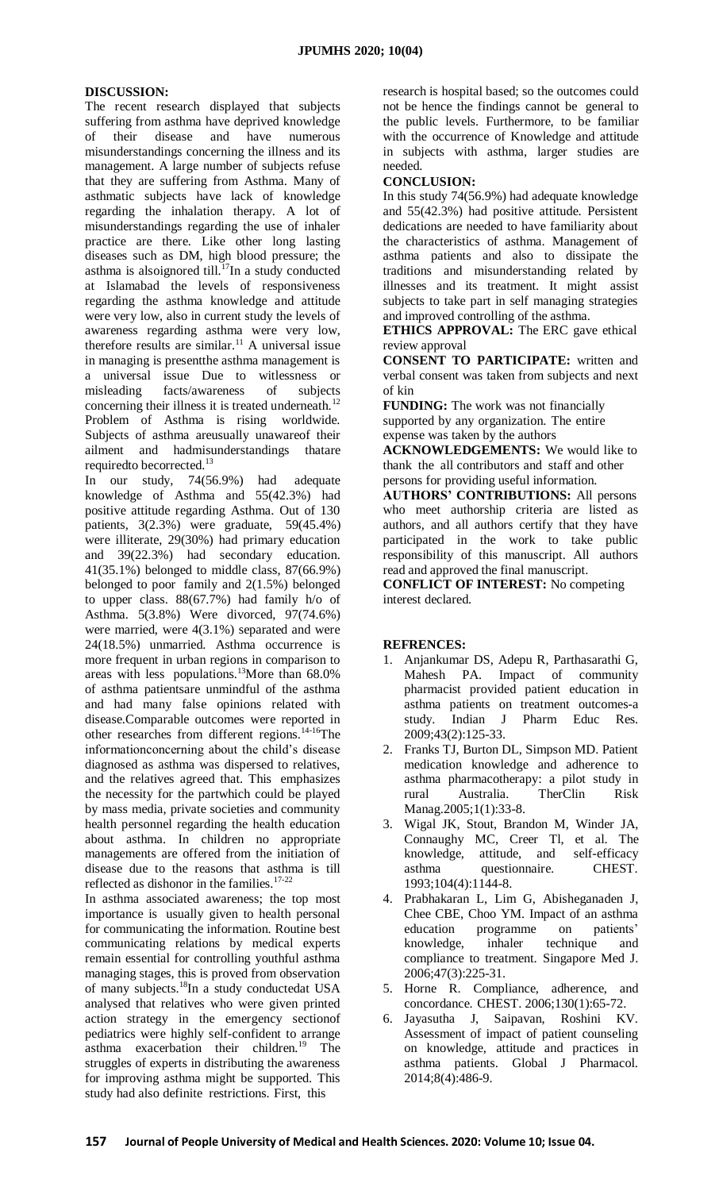## **DISCUSSION:**

The recent research displayed that subjects suffering from asthma have deprived knowledge of their disease and have numerous misunderstandings concerning the illness and its management. A large number of subjects refuse that they are suffering from Asthma. Many of asthmatic subjects have lack of knowledge regarding the inhalation therapy. A lot of misunderstandings regarding the use of inhaler practice are there. Like other long lasting diseases such as DM, high blood pressure; the asthma is alsoignored till.<sup>17</sup>In a study conducted at Islamabad the levels of responsiveness regarding the asthma knowledge and attitude were very low, also in current study the levels of awareness regarding asthma were very low, therefore results are similar.<sup>11</sup> A universal issue in managing is presentthe asthma management is a universal issue Due to witlessness or misleading facts/awareness of subjects concerning their illness it is treated underneath.<sup>12</sup> Problem of Asthma is rising worldwide. Subjects of asthma areusually unawareof their ailment and hadmisunderstandings thatare required to becorrected.<sup>13</sup>

In our study, 74(56.9%) had adequate knowledge of Asthma and 55(42.3%) had positive attitude regarding Asthma. Out of 130 patients, 3(2.3%) were graduate, 59(45.4%) were illiterate, 29(30%) had primary education and 39(22.3%) had secondary education. 41(35.1%) belonged to middle class, 87(66.9%) belonged to poor family and 2(1.5%) belonged to upper class. 88(67.7%) had family h/o of Asthma. 5(3.8%) Were divorced, 97(74.6%) were married, were 4(3.1%) separated and were 24(18.5%) unmarried. Asthma occurrence is more frequent in urban regions in comparison to areas with less populations.<sup>13</sup>More than  $68.0\%$ of asthma patientsare unmindful of the asthma and had many false opinions related with disease.Comparable outcomes were reported in other researches from different regions.14-16The informationconcerning about the child's disease diagnosed as asthma was dispersed to relatives, and the relatives agreed that. This emphasizes the necessity for the partwhich could be played by mass media, private societies and community health personnel regarding the health education about asthma. In children no appropriate managements are offered from the initiation of disease due to the reasons that asthma is till reflected as dishonor in the families.<sup>17-22</sup>

In asthma associated awareness; the top most importance is usually given to health personal for communicating the information. Routine best communicating relations by medical experts remain essential for controlling youthful asthma managing stages, this is proved from observation of many subjects.<sup>18</sup>In a study conductedat USA analysed that relatives who were given printed action strategy in the emergency sectionof pediatrics were highly self-confident to arrange asthma exacerbation their children.<sup>19</sup> The struggles of experts in distributing the awareness for improving asthma might be supported. This study had also definite restrictions. First, this

research is hospital based; so the outcomes could not be hence the findings cannot be general to the public levels. Furthermore, to be familiar with the occurrence of Knowledge and attitude in subjects with asthma, larger studies are needed.

#### **CONCLUSION:**

In this study 74(56.9%) had adequate knowledge and 55(42.3%) had positive attitude. Persistent dedications are needed to have familiarity about the characteristics of asthma. Management of asthma patients and also to dissipate the traditions and misunderstanding related by illnesses and its treatment. It might assist subjects to take part in self managing strategies and improved controlling of the asthma.

**ETHICS APPROVAL:** The ERC gave ethical review approval

**CONSENT TO PARTICIPATE:** written and verbal consent was taken from subjects and next of kin

**FUNDING:** The work was not financially supported by any organization. The entire expense was taken by the authors

**ACKNOWLEDGEMENTS:** We would like to thank the all contributors and staff and other persons for providing useful information.

**AUTHORS' CONTRIBUTIONS:** All persons who meet authorship criteria are listed as authors, and all authors certify that they have participated in the work to take public responsibility of this manuscript. All authors read and approved the final manuscript.

**CONFLICT OF INTEREST:** No competing interest declared.

# **REFRENCES:**

- 1. Anjankumar DS, Adepu R, Parthasarathi G, Mahesh PA. Impact of community pharmacist provided patient education in asthma patients on treatment outcomes-a study. Indian J Pharm Educ Res. 2009;43(2):125-33.
- 2. Franks TJ, Burton DL, Simpson MD. Patient medication knowledge and adherence to asthma pharmacotherapy: a pilot study in rural Australia. TherClin Risk Manag.2005;1(1):33-8.
- 3. Wigal JK, Stout, Brandon M, Winder JA, Connaughy MC, Creer Tl, et al. The knowledge, attitude, and self-efficacy asthma questionnaire. CHEST. 1993;104(4):1144-8.
- 4. Prabhakaran L, Lim G, Abisheganaden J, Chee CBE, Choo YM. Impact of an asthma education programme on patients' knowledge, inhaler technique and compliance to treatment. Singapore Med J. 2006;47(3):225-31.
- 5. Horne R. Compliance, adherence, and concordance. CHEST. 2006;130(1):65-72.
- 6. Jayasutha J, Saipavan, Roshini KV. Assessment of impact of patient counseling on knowledge, attitude and practices in asthma patients. Global J Pharmacol. 2014;8(4):486-9.